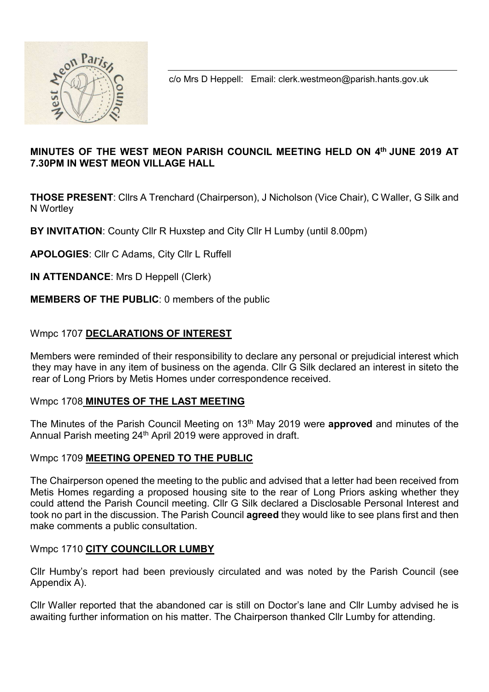

c/o Mrs D Heppell: Email: clerk.westmeon@parish.hants.gov.uk

## MINUTES OF THE WEST MEON PARISH COUNCIL MEETING HELD ON 4th JUNE 2019 AT 7.30PM IN WEST MEON VILLAGE HALL

THOSE PRESENT: Cllrs A Trenchard (Chairperson), J Nicholson (Vice Chair), C Waller, G Silk and N Wortley

BY INVITATION: County Cllr R Huxstep and City Cllr H Lumby (until 8.00pm)

APOLOGIES: Cllr C Adams, City Cllr L Ruffell

IN ATTENDANCE: Mrs D Heppell (Clerk)

## MEMBERS OF THE PUBLIC: 0 members of the public

## Wmpc 1707 DECLARATIONS OF INTEREST

Members were reminded of their responsibility to declare any personal or prejudicial interest which they may have in any item of business on the agenda. Cllr G Silk declared an interest in siteto the rear of Long Priors by Metis Homes under correspondence received.

#### Wmpc 1708 MINUTES OF THE LAST MEETING

The Minutes of the Parish Council Meeting on 13<sup>th</sup> May 2019 were **approved** and minutes of the Annual Parish meeting 24<sup>th</sup> April 2019 were approved in draft.

#### Wmpc 1709 MEETING OPENED TO THE PUBLIC

The Chairperson opened the meeting to the public and advised that a letter had been received from Metis Homes regarding a proposed housing site to the rear of Long Priors asking whether they could attend the Parish Council meeting. Cllr G Silk declared a Disclosable Personal Interest and took no part in the discussion. The Parish Council **agreed** they would like to see plans first and then make comments a public consultation.

### Wmpc 1710 CITY COUNCILLOR LUMBY

Cllr Humby's report had been previously circulated and was noted by the Parish Council (see Appendix A).

Cllr Waller reported that the abandoned car is still on Doctor's lane and Cllr Lumby advised he is awaiting further information on his matter. The Chairperson thanked Cllr Lumby for attending.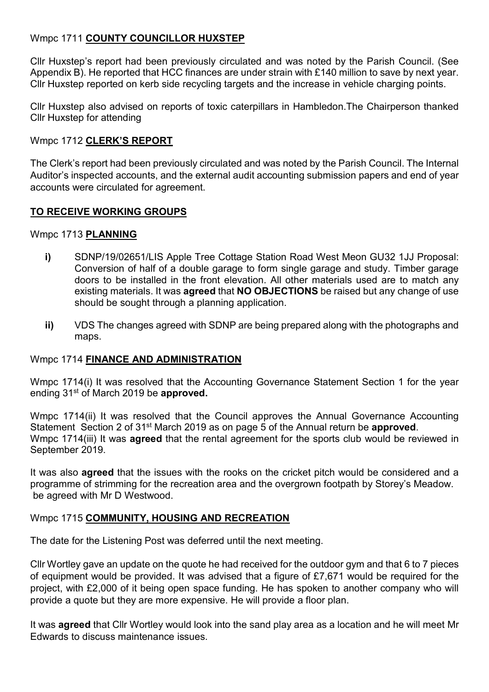## Wmpc 1711 COUNTY COUNCILLOR HUXSTEP

Cllr Huxstep's report had been previously circulated and was noted by the Parish Council. (See Appendix B). He reported that HCC finances are under strain with £140 million to save by next year. Cllr Huxstep reported on kerb side recycling targets and the increase in vehicle charging points.

Cllr Huxstep also advised on reports of toxic caterpillars in Hambledon.The Chairperson thanked Cllr Huxstep for attending

#### Wmpc 1712 CLERK'S REPORT

The Clerk's report had been previously circulated and was noted by the Parish Council. The Internal Auditor's inspected accounts, and the external audit accounting submission papers and end of year accounts were circulated for agreement.

#### TO RECEIVE WORKING GROUPS

#### Wmpc 1713 PLANNING

- i) SDNP/19/02651/LIS Apple Tree Cottage Station Road West Meon GU32 1JJ Proposal: Conversion of half of a double garage to form single garage and study. Timber garage doors to be installed in the front elevation. All other materials used are to match any existing materials. It was **agreed** that **NO OBJECTIONS** be raised but any change of use should be sought through a planning application.
- ii) VDS The changes agreed with SDNP are being prepared along with the photographs and maps.

#### Wmpc 1714 FINANCE AND ADMINISTRATION

Wmpc 1714(i) It was resolved that the Accounting Governance Statement Section 1 for the year ending 31<sup>st</sup> of March 2019 be approved.

Wmpc 1714(ii) It was resolved that the Council approves the Annual Governance Accounting Statement Section 2 of 31<sup>st</sup> March 2019 as on page 5 of the Annual return be **approved**. Wmpc 1714(iii) It was **agreed** that the rental agreement for the sports club would be reviewed in September 2019.

It was also **agreed** that the issues with the rooks on the cricket pitch would be considered and a programme of strimming for the recreation area and the overgrown footpath by Storey's Meadow. be agreed with Mr D Westwood.

#### Wmpc 1715 COMMUNITY, HOUSING AND RECREATION

The date for the Listening Post was deferred until the next meeting.

Cllr Wortley gave an update on the quote he had received for the outdoor gym and that 6 to 7 pieces of equipment would be provided. It was advised that a figure of £7,671 would be required for the project, with £2,000 of it being open space funding. He has spoken to another company who will provide a quote but they are more expensive. He will provide a floor plan.

It was **agreed** that Cllr Wortley would look into the sand play area as a location and he will meet Mr Edwards to discuss maintenance issues.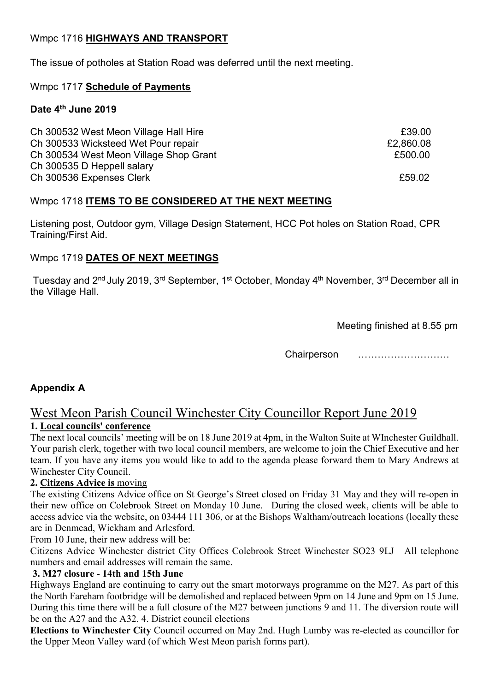## Wmpc 1716 HIGHWAYS AND TRANSPORT

The issue of potholes at Station Road was deferred until the next meeting.

### Wmpc 1717 Schedule of Payments

### Date 4<sup>th</sup> June 2019

| Ch 300532 West Meon Village Hall Hire  | £39.00    |
|----------------------------------------|-----------|
| Ch 300533 Wicksteed Wet Pour repair    | £2,860.08 |
| Ch 300534 West Meon Village Shop Grant | £500.00   |
| Ch 300535 D Heppell salary             |           |
| Ch 300536 Expenses Clerk               | £59.02    |

## Wmpc 1718 ITEMS TO BE CONSIDERED AT THE NEXT MEETING

Listening post, Outdoor gym, Village Design Statement, HCC Pot holes on Station Road, CPR Training/First Aid.

## Wmpc 1719 DATES OF NEXT MEETINGS

Tuesday and 2<sup>nd</sup> July 2019, 3<sup>rd</sup> September, 1<sup>st</sup> October, Monday 4<sup>th</sup> November, 3<sup>rd</sup> December all in the Village Hall.

Meeting finished at 8.55 pm

Chairperson ……………………….

## Appendix A

## West Meon Parish Council Winchester City Councillor Report June 2019 1. Local councils' conference

The next local councils' meeting will be on 18 June 2019 at 4pm, in the Walton Suite at WInchester Guildhall. Your parish clerk, together with two local council members, are welcome to join the Chief Executive and her team. If you have any items you would like to add to the agenda please forward them to Mary Andrews at Winchester City Council.

### 2. Citizens Advice is moving

The existing Citizens Advice office on St George's Street closed on Friday 31 May and they will re-open in their new office on Colebrook Street on Monday 10 June. During the closed week, clients will be able to access advice via the website, on 03444 111 306, or at the Bishops Waltham/outreach locations (locally these are in Denmead, Wickham and Arlesford.

From 10 June, their new address will be:

Citizens Advice Winchester district City Offices Colebrook Street Winchester SO23 9LJ All telephone numbers and email addresses will remain the same.

### 3. M27 closure - 14th and 15th June

Highways England are continuing to carry out the smart motorways programme on the M27. As part of this the North Fareham footbridge will be demolished and replaced between 9pm on 14 June and 9pm on 15 June. During this time there will be a full closure of the M27 between junctions 9 and 11. The diversion route will be on the A27 and the A32. 4. District council elections

Elections to Winchester City Council occurred on May 2nd. Hugh Lumby was re-elected as councillor for the Upper Meon Valley ward (of which West Meon parish forms part).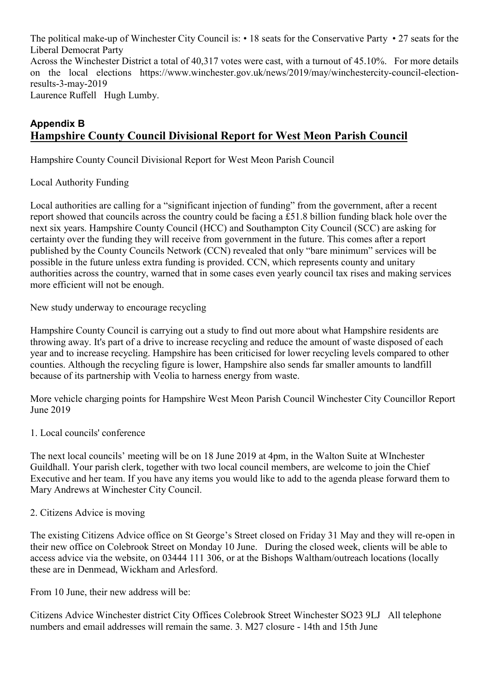The political make-up of Winchester City Council is: • 18 seats for the Conservative Party • 27 seats for the Liberal Democrat Party Across the Winchester District a total of 40,317 votes were cast, with a turnout of 45.10%. For more details on the local elections https://www.winchester.gov.uk/news/2019/may/winchestercity-council-electionresults-3-may-2019

Laurence Ruffell Hugh Lumby.

# Appendix B Hampshire County Council Divisional Report for West Meon Parish Council

Hampshire County Council Divisional Report for West Meon Parish Council

#### Local Authority Funding

Local authorities are calling for a "significant injection of funding" from the government, after a recent report showed that councils across the country could be facing a £51.8 billion funding black hole over the next six years. Hampshire County Council (HCC) and Southampton City Council (SCC) are asking for certainty over the funding they will receive from government in the future. This comes after a report published by the County Councils Network (CCN) revealed that only "bare minimum" services will be possible in the future unless extra funding is provided. CCN, which represents county and unitary authorities across the country, warned that in some cases even yearly council tax rises and making services more efficient will not be enough.

New study underway to encourage recycling

Hampshire County Council is carrying out a study to find out more about what Hampshire residents are throwing away. It's part of a drive to increase recycling and reduce the amount of waste disposed of each year and to increase recycling. Hampshire has been criticised for lower recycling levels compared to other counties. Although the recycling figure is lower, Hampshire also sends far smaller amounts to landfill because of its partnership with Veolia to harness energy from waste.

More vehicle charging points for Hampshire West Meon Parish Council Winchester City Councillor Report June 2019

#### 1. Local councils' conference

The next local councils' meeting will be on 18 June 2019 at 4pm, in the Walton Suite at WInchester Guildhall. Your parish clerk, together with two local council members, are welcome to join the Chief Executive and her team. If you have any items you would like to add to the agenda please forward them to Mary Andrews at Winchester City Council.

#### 2. Citizens Advice is moving

The existing Citizens Advice office on St George's Street closed on Friday 31 May and they will re-open in their new office on Colebrook Street on Monday 10 June. During the closed week, clients will be able to access advice via the website, on 03444 111 306, or at the Bishops Waltham/outreach locations (locally these are in Denmead, Wickham and Arlesford.

From 10 June, their new address will be:

Citizens Advice Winchester district City Offices Colebrook Street Winchester SO23 9LJ All telephone numbers and email addresses will remain the same. 3. M27 closure - 14th and 15th June